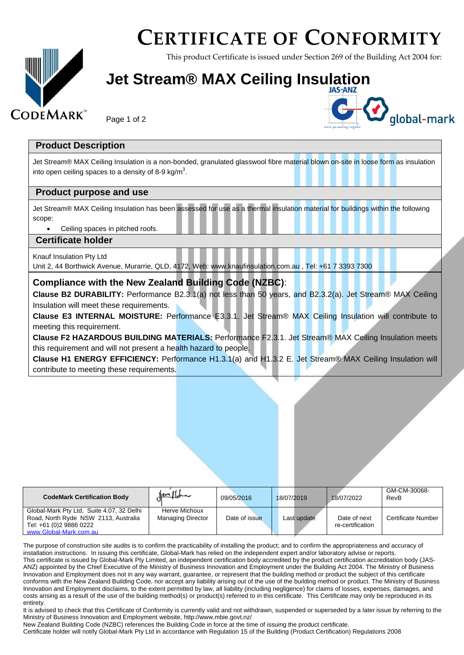## **CERTIFICATE OF CONFORMITY**

This product Certificate is issued under Section 269 of the Building Act 2004 for:

### **Jet Stream® MAX Ceiling Insulation**

Page 1 of 2



#### **Product Description**

**CODEMARK** 

Jet Stream® MAX Ceiling Insulation is a non-bonded, granulated glasswool fibre material blown on-site in loose form as insulation into open ceiling spaces to a density of 8-9 kg/m<sup>3</sup>.

#### **Product purpose and use**

Jet Stream® MAX Ceiling Insulation has been assessed for use as a thermal insulation material for buildings within the following scope:

Ceiling spaces in pitched roofs.

#### **Certificate holder**

Knauf Insulation Pty Ltd

Unit 2, 44 Borthwick Avenue, Murarrie, QLD, 4172, Web: www.knaufinsulation.com.au , Tel: +61 7 3393 7300

#### **Compliance with the New Zealand Building Code (NZBC)**:

**Clause B2 DURABILITY:** Performance B2.3.1(a) not less than 50 years, and B2.3.2(a). Jet Stream® MAX Ceiling Insulation will meet these requirements.

**Clause E3 INTERNAL MOISTURE:** Performance E3.3.1. Jet Stream® MAX Ceiling Insulation will contribute to meeting this requirement.

**Clause F2 HAZARDOUS BUILDING MATERIALS:** Performance F2.3.1. Jet Stream® MAX Ceiling Insulation meets this requirement and will not present a health hazard to people.

**Clause H1 ENERGY EFFICIENCY:** Performance H1.3.1(a) and H1.3.2 E. Jet Stream® MAX Ceiling Insulation will contribute to meeting these requirements.

| <b>CodeMark Certification Body</b>                                                                                                     | $New H_{\rm{star}}$                       | 09/05/2016    | 18/07/2019  | 18/07/2022                       | GM-CM-30068-<br>RevB |
|----------------------------------------------------------------------------------------------------------------------------------------|-------------------------------------------|---------------|-------------|----------------------------------|----------------------|
| Global-Mark Pty Ltd, Suite 4.07, 32 Delhi<br>Road, North Ryde NSW 2113, Australia<br>Tel: +61 (0)2 9886 0222<br>www.Global-Mark.com.au | Herve Michoux<br><b>Managing Director</b> | Date of issue | Last update | Date of next<br>re-certification | Certificate Number   |

The purpose of construction site audits is to confirm the practicability of installing the product; and to confirm the appropriateness and accuracy of installation instructions. In issuing this certificate, Global-Mark has relied on the independent expert and/or laboratory advise or reports. This certificate is issued by Global-Mark Pty Limited, an independent certification body accredited by the product certification accreditation body (JAS-ANZ) appointed by the Chief Executive of the Ministry of Business Innovation and Employment under the Building Act 2004. The Ministry of Business Innovation and Employment does not in any way warrant, guarantee, or represent that the building method or product the subject of this certificate conforms with the New Zealand Building Code, nor accept any liability arising out of the use of the building method or product. The Ministry of Business Innovation and Employment disclaims, to the extent permitted by law, all liability (including negligence) for claims of losses, expenses, damages, and costs arising as a result of the use of the building method(s) or product(s) referred to in this certificate. This Certificate may only be reproduced in its entirety.

It is advised to check that this Certificate of Conformity is currently valid and not withdrawn, suspended or superseded by a later issue by referring to the Ministry of Business Innovation and Employment website,<http://www.mbie.govt.nz/>

New Zealand Building Code (NZBC) references the Building Code in force at the time of issuing the product certificate.

Certificate holder will notify Global-Mark Pty Ltd in accordance with Regulation 15 of the Building (Product Certification) Regulations 2008